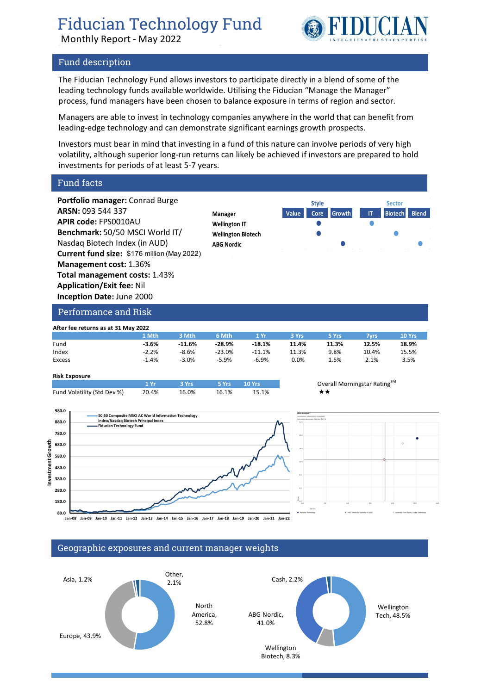# Fiducian Technology Fund

Monthly Report - May 2022



## Fund description

The Fiducian Technology Fund allows investors to participate directly in a blend of some of the leading technology funds available worldwide. Utilising the Fiducian "Manage the Manager" process, fund managers have been chosen to balance exposure in terms of region and sector.

Managers are able to invest in technology companies anywhere in the world that can benefit from leading-edge technology and can demonstrate significant earnings growth prospects.

Investors must bear in mind that investing in a fund of this nature can involve periods of very high volatility, although superior long-run returns can likely be achieved if investors are prepared to hold investments for periods of at least 5-7 years.

Fund facts

**Portfolio manager:** Conrad Burge **ARSN:** 093 544 337 **APIR code:** FPS0010AU **Benchmark:** 50/50 MSCI World IT/ Nasdaq Biotech Index (in AUD) **Current fund size:** \$176 million (May 2022) **Management cost:** 1.36% **Total management costs:** 1.43% **Application/Exit fee:** Nil **Inception Date:** June 2000



Performance and Risk

| After fee returns as at 31 May 2022 |         |          |          |          |         |       |       |        |  |
|-------------------------------------|---------|----------|----------|----------|---------|-------|-------|--------|--|
|                                     | 1 Mth   | 3 Mth    | 6 Mth    | 1 Yr     | 3 Yrs   | 5 Yrs | 7vrs  | 10 Yrs |  |
| Fund                                | $-3.6%$ | $-11.6%$ | -28.9%   | $-18.1%$ | 11.4%   | 11.3% | 12.5% | 18.9%  |  |
| Index                               | $-2.2%$ | $-8.6%$  | $-23.0%$ | $-11.1%$ | 11.3%   | 9.8%  | 10.4% | 15.5%  |  |
| Excess                              | $-1.4%$ | $-3.0%$  | $-5.9%$  | $-6.9%$  | $0.0\%$ | 1.5%  | 2.1%  | 3.5%   |  |

**Risk Exposure**

**Investment Growth**

ment vest



**980.0 50:50 Composite MSCI AC World Information Technology 880.0 Index/Nasdaq Biotech Principal Index Fiducian Technology Fund 780.0** Growth **680.0 580.0 480.0 380.0 280.0 180.0 80.0 Jan-08 Jan-09 Jan-10 Jan-11 Jan-12 Jan-13 Jan-14 Jan-15 Jan-16 Jan-17 Jan-18 Jan-19 Jan-20 Jan-21 Jan-22**



### Geographic exposures and current manager weights